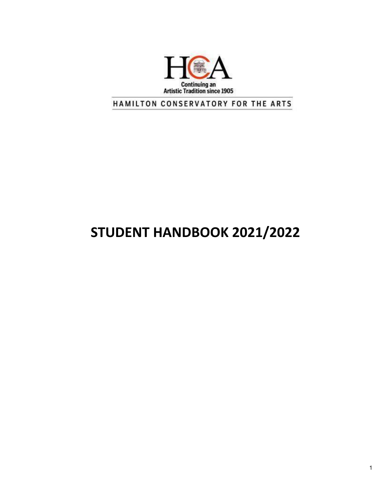

HAMILTON CONSERVATORY FOR THE ARTS

# **STUDENT HANDBOOK 2021/2022**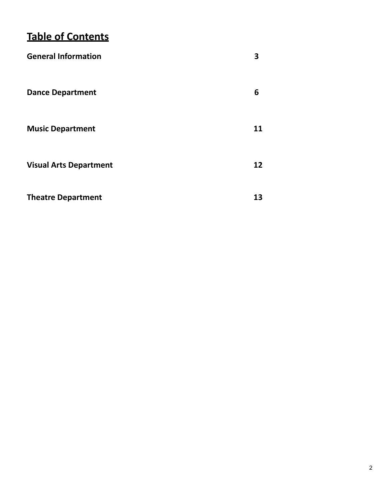# **Table of Contents**

| <b>General Information</b>    | 3  |
|-------------------------------|----|
| <b>Dance Department</b>       | 6  |
| <b>Music Department</b>       | 11 |
| <b>Visual Arts Department</b> | 12 |
| <b>Theatre Department</b>     | 13 |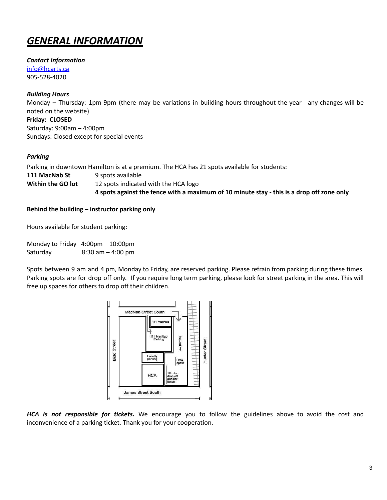# *GENERAL INFORMATION*

*Contact Information* [info@hcarts.ca](mailto:info@hcarts.ca)

905-528-4020

# *Building Hours*

Monday – Thursday: 1pm-9pm (there may be variations in building hours throughout the year - any changes will be noted on the website)

**Friday: CLOSED** Saturday: 9:00am – 4:00pm Sundays: Closed except for special events

# *Parking*

Parking in downtown Hamilton is at a premium. The HCA has 21 spots available for students:

**111 MacNab St** 9 spots available **Within the GO lot** 12 spots indicated with the HCA logo 4 spots against the fence with a maximum of 10 minute stay - this is a drop off zone only

# **Behind the building** – **instructor parking only**

Hours available for student parking:

Monday to Friday 4:00pm – 10:00pm Saturday 8:30 am – 4:00 pm

Spots between 9 am and 4 pm, Monday to Friday, are reserved parking. Please refrain from parking during these times. Parking spots are for drop off only. If you require long term parking, please look for street parking in the area. This will free up spaces for others to drop off their children.



*HCA is not responsible for tickets.* We encourage you to follow the guidelines above to avoid the cost and inconvenience of a parking ticket. Thank you for your cooperation.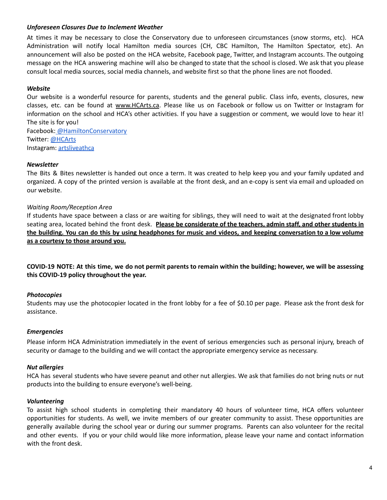#### *Unforeseen Closures Due to Inclement Weather*

At times it may be necessary to close the Conservatory due to unforeseen circumstances (snow storms, etc). HCA Administration will notify local Hamilton media sources (CH, CBC Hamilton, The Hamilton Spectator, etc). An announcement will also be posted on the HCA website, Facebook page, Twitter, and Instagram accounts. The outgoing message on the HCA answering machine will also be changed to state that the school is closed. We ask that you please consult local media sources, social media channels, and website first so that the phone lines are not flooded.

#### *Website*

Our website is a wonderful resource for parents, students and the general public. Class info, events, closures, new classes, etc. can be found at [www.HCArts.ca](http://www.hcarts.ca). Please like us on Facebook or follow us on Twitter or Instagram for information on the school and HCA's other activities. If you have a suggestion or comment, we would love to hear it! The site is for you!

Facebook: [@HamiltonConservatory](https://www.facebook.com/HamiltonConservatory/) Twitter: [@HCArts](https://twitter.com/HCArts?ref_src=twsrc%5Egoogle%7Ctwcamp%5Eserp%7Ctwgr%5Eauthor) Instagram: [artsliveathca](https://www.instagram.com/artsliveathca/?hl=en)

#### *Newsletter*

The Bits & Bites newsletter is handed out once a term. It was created to help keep you and your family updated and organized. A copy of the printed version is available at the front desk, and an e-copy is sent via email and uploaded on our website.

#### *Waiting Room/Reception Area*

If students have space between a class or are waiting for siblings, they will need to wait at the designated front lobby seating area, located behind the front desk. **Please be considerate of the teachers, admin staff, and other students in** the building. You can do this by using headphones for music and videos, and keeping conversation to a low volume **as a courtesy to those around you.**

COVID-19 NOTE: At this time, we do not permit parents to remain within the building; however, we will be assessing **this COVID-19 policy throughout the year.**

#### *Photocopies*

Students may use the photocopier located in the front lobby for a fee of \$0.10 per page. Please ask the front desk for assistance.

#### *Emergencies*

Please inform HCA Administration immediately in the event of serious emergencies such as personal injury, breach of security or damage to the building and we will contact the appropriate emergency service as necessary.

#### *Nut allergies*

HCA has several students who have severe peanut and other nut allergies. We ask that families do not bring nuts or nut products into the building to ensure everyone's well-being.

#### *Volunteering*

To assist high school students in completing their mandatory 40 hours of volunteer time, HCA offers volunteer opportunities for students. As well, we invite members of our greater community to assist. These opportunities are generally available during the school year or during our summer programs. Parents can also volunteer for the recital and other events. If you or your child would like more information, please leave your name and contact information with the front desk.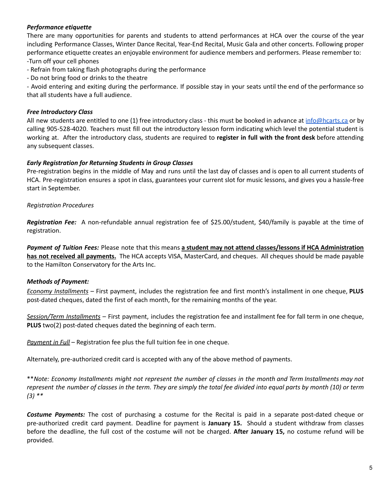# *Performance etiquette*

There are many opportunities for parents and students to attend performances at HCA over the course of the year including Performance Classes, Winter Dance Recital, Year-End Recital, Music Gala and other concerts. Following proper performance etiquette creates an enjoyable environment for audience members and performers. Please remember to: -Turn off your cell phones

- Refrain from taking flash photographs during the performance

- Do not bring food or drinks to the theatre

- Avoid entering and exiting during the performance. If possible stay in your seats until the end of the performance so that all students have a full audience.

### *Free Introductory Class*

All new students are entitled to one (1) free introductory class - this must be booked in advance at  $info@hcarts.ca$  or by calling 905-528-4020. Teachers must fill out the introductory lesson form indicating which level the potential student is working at. After the introductory class, students are required to **register in full with the front desk** before attending any subsequent classes.

# *Early Registration for Returning Students in Group Classes*

Pre-registration begins in the middle of May and runs until the last day of classes and is open to all current students of HCA. Pre-registration ensures a spot in class, guarantees your current slot for music lessons, and gives you a hassle-free start in September.

# *Registration Procedures*

*Registration Fee:* A non-refundable annual registration fee of \$25.00/student, \$40/family is payable at the time of registration.

*Payment of Tuition Fees:* Please note that this means **a student may not attend classes/lessons if HCA Administration has not received all payments.** The HCA accepts VISA, MasterCard, and cheques. All cheques should be made payable to the Hamilton Conservatory for the Arts Inc.

# *Methods of Payment:*

*Economy Installments* – First payment, includes the registration fee and first month's installment in one cheque, **PLUS** post-dated cheques, dated the first of each month, for the remaining months of the year.

*Session/Term Installments* – First payment, includes the registration fee and installment fee for fall term in one cheque, **PLUS** two(2) post-dated cheques dated the beginning of each term.

*Payment in Full* – Registration fee plus the full tuition fee in one cheque.

Alternately, pre-authorized credit card is accepted with any of the above method of payments.

\*\*Note: Economy Installments might not represent the number of classes in the month and Term Installments may not represent the number of classes in the term. They are simply the total fee divided into equal parts by month (10) or term *(3) \*\**

*Costume Payments:* The cost of purchasing a costume for the Recital is paid in a separate post-dated cheque or pre-authorized credit card payment. Deadline for payment is **January 15.** Should a student withdraw from classes before the deadline, the full cost of the costume will not be charged. **After January 15,** no costume refund will be provided.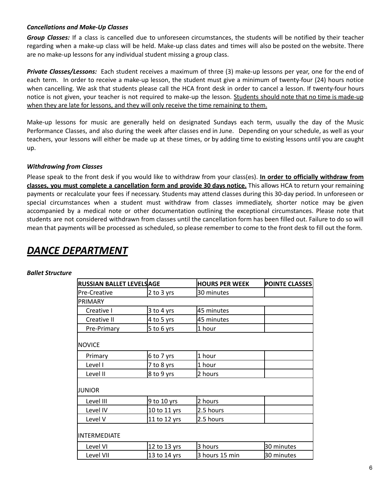### *Cancellations and Make-Up Classes*

*Group Classes:* If a class is cancelled due to unforeseen circumstances, the students will be notified by their teacher regarding when a make-up class will be held. Make-up class dates and times will also be posted on the website. There are no make-up lessons for any individual student missing a group class.

*Private Classes/Lessons:* Each student receives a maximum of three (3) make-up lessons per year, one for the end of each term. In order to receive a make-up lesson, the student must give a minimum of twenty-four (24) hours notice when cancelling. We ask that students please call the HCA front desk in order to cancel a lesson. If twenty-four hours notice is not given, your teacher is not required to make-up the lesson. Students should note that no time is made-up when they are late for lessons, and they will only receive the time remaining to them.

Make-up lessons for music are generally held on designated Sundays each term, usually the day of the Music Performance Classes, and also during the week after classes end in June. Depending on your schedule, as well as your teachers, your lessons will either be made up at these times, or by adding time to existing lessons until you are caught up.

# *Withdrawing from Classes*

Please speak to the front desk if you would like to withdraw from your class(es). **In order to officially withdraw from classes, you must complete a cancellation form and provide 30 days notice.** This allows HCA to return your remaining payments or recalculate your fees if necessary. Students may attend classes during this 30-day period. In unforeseen or special circumstances when a student must withdraw from classes immediately, shorter notice may be given accompanied by a medical note or other documentation outlining the exceptional circumstances. Please note that students are not considered withdrawn from classes until the cancellation form has been filled out. Failure to do so will mean that payments will be processed as scheduled, so please remember to come to the front desk to fill out the form.

# *DANCE DEPARTMENT*

#### *Ballet Structure*

| <b>RUSSIAN BALLET LEVELSAGE</b> |              | <b>HOURS PER WEEK</b> | <b>POINTE CLASSES</b> |
|---------------------------------|--------------|-----------------------|-----------------------|
| <b>Pre-Creative</b>             | 2 to 3 yrs   | 30 minutes            |                       |
| PRIMARY                         |              |                       |                       |
| Creative I                      | $3$ to 4 yrs | 45 minutes            |                       |
| Creative II                     | 4 to 5 yrs   | 45 minutes            |                       |
| Pre-Primary                     | 5 to 6 yrs   | 1 hour                |                       |
| <b>NOVICE</b>                   |              |                       |                       |
| Primary                         | 6 to 7 yrs   | 1 hour                |                       |
| Level I                         | 7 to 8 yrs   | 1 hour                |                       |
| Level II                        | 8 to 9 yrs   | 2 hours               |                       |
| JUNIOR                          |              |                       |                       |
| Level III                       | 9 to 10 yrs  | 2 hours               |                       |
| Level IV                        | 10 to 11 yrs | 2.5 hours             |                       |
| Level V                         | 11 to 12 yrs | 2.5 hours             |                       |
| <b>INTERMEDIATE</b>             |              |                       |                       |
| Level VI                        | 12 to 13 yrs | 3 hours               | 30 minutes            |
| Level VII                       | 13 to 14 yrs | 3 hours 15 min        | 30 minutes            |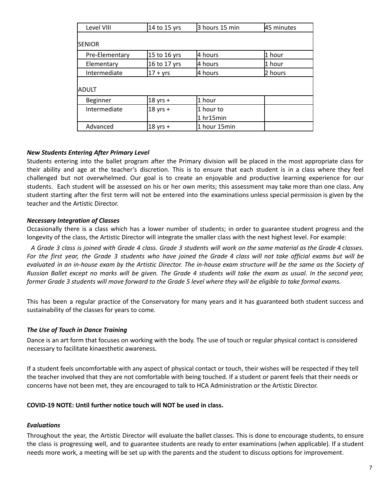| Level VIII     | 14 to 15 yrs | 3 hours 15 min | 45 minutes |
|----------------|--------------|----------------|------------|
| <b>ISENIOR</b> |              |                |            |
| Pre-Elementary | 15 to 16 yrs | 4 hours        | 1 hour     |
| Elementary     | 16 to 17 yrs | 4 hours        | 1 hour     |
| Intermediate   | $17 + yrs$   | 4 hours        | 2 hours    |
| ADULT          |              |                |            |
| Beginner       | $18$ yrs +   | 1 hour         |            |
| Intermediate   | $18$ yrs +   | 1 hour to      |            |
|                |              | 1 hr15min      |            |
| Advanced       | $18$ yrs +   | 1 hour 15min   |            |

# *New Students Entering After Primary Level*

Students entering into the ballet program after the Primary division will be placed in the most appropriate class for their ability and age at the teacher's discretion. This is to ensure that each student is in a class where they feel challenged but not overwhelmed. Our goal is to create an enjoyable and productive learning experience for our students. Each student will be assessed on his or her own merits; this assessment may take more than one class. Any student starting after the first term will not be entered into the examinations unless special permission is given by the teacher and the Artistic Director.

#### *Necessary Integration of Classes*

Occasionally there is a class which has a lower number of students; in order to guarantee student progress and the longevity of the class, the Artistic Director will integrate the smaller class with the next highest level. For example:

A Grade 3 class is joined with Grade 4 class. Grade 3 students will work on the same material as the Grade 4 classes. For the first year, the Grade 3 students who have joined the Grade 4 class will not take official exams but will be evaluated in an in-house exam by the Artistic Director. The in-house exam structure will be the same as the Society of Russian Ballet except no marks will be given. The Grade 4 students will take the exam as usual. In the second year, former Grade 3 students will move forward to the Grade 5 level where they will be eligible to take formal exams.

This has been a regular practice of the Conservatory for many years and it has guaranteed both student success and sustainability of the classes for years to come*.*

# *The Use of Touch in Dance Training*

Dance is an art form that focuses on working with the body. The use of touch or regular physical contact is considered necessary to facilitate kinaesthetic awareness.

If a student feels uncomfortable with any aspect of physical contact or touch, their wishes will be respected if they tell the teacher involved that they are not comfortable with being touched. If a student or parent feels that their needs or concerns have not been met, they are encouraged to talk to HCA Administration or the Artistic Director.

#### **COVID-19 NOTE: Until further notice touch will NOT be used in class.**

#### *Evaluations*

Throughout the year, the Artistic Director will evaluate the ballet classes. This is done to encourage students, to ensure the class is progressing well, and to guarantee students are ready to enter examinations (when applicable). If a student needs more work, a meeting will be set up with the parents and the student to discuss options for improvement.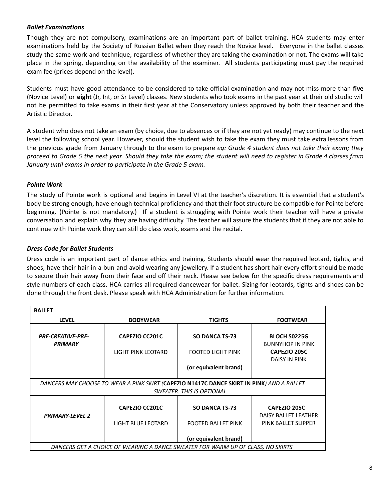# *Ballet Examinations*

Though they are not compulsory, examinations are an important part of ballet training. HCA students may enter examinations held by the Society of Russian Ballet when they reach the Novice level. Everyone in the ballet classes study the same work and technique, regardless of whether they are taking the examination or not. The exams will take place in the spring, depending on the availability of the examiner. All students participating must pay the required exam fee (prices depend on the level).

Students must have good attendance to be considered to take official examination and may not miss more than **five** (Novice Level) or **eight** (Jr, Int, or Sr Level) classes. New students who took exams in the past year at their old studio will not be permitted to take exams in their first year at the Conservatory unless approved by both their teacher and the Artistic Director.

A student who does not take an exam (by choice, due to absences or if they are not yet ready) may continue to the next level the following school year. However, should the student wish to take the exam they must take extra lessons from the previous grade from January through to the exam to prepare *eg: Grade 4 student does not take their exam; they* proceed to Grade 5 the next year. Should they take the exam; the student will need to register in Grade 4 classes from *January until exams in order to participate in the Grade 5 exam.*

# *Pointe Work*

The study of Pointe work is optional and begins in Level VI at the teacher's discretion. It is essential that a student's body be strong enough, have enough technical proficiency and that their foot structure be compatible for Pointe before beginning. (Pointe is not mandatory.) If a student is struggling with Pointe work their teacher will have a private conversation and explain why they are having difficulty. The teacher will assure the students that if they are not able to continue with Pointe work they can still do class work, exams and the recital.

### *Dress Code for Ballet Students*

Dress code is an important part of dance ethics and training. Students should wear the required leotard, tights, and shoes, have their hair in a bun and avoid wearing any jewellery. If a student has short hair every effort should be made to secure their hair away from their face and off their neck. Please see below for the specific dress requirements and style numbers of each class. HCA carries all required dancewear for ballet. Sizing for leotards, tights and shoes can be done through the front desk. Please speak with HCA Administration for further information.

| <b>BALLET</b>                                                                                                           |                                                    |                                                                             |                                                                       |
|-------------------------------------------------------------------------------------------------------------------------|----------------------------------------------------|-----------------------------------------------------------------------------|-----------------------------------------------------------------------|
| <b>LEVEL</b>                                                                                                            | <b>BODYWEAR</b>                                    | <b>TIGHTS</b>                                                               | <b>FOOTWEAR</b>                                                       |
| <b>PRE-CREATIVE-PRE-</b><br><b>PRIMARY</b>                                                                              | <b>CAPEZIO CC201C</b><br>LIGHT PINK LEOTARD        | <b>SO DANCA TS-73</b><br><b>FOOTED LIGHT PINK</b>                           | <b>BLOCH S0225G</b><br><b>BUNNYHOP IN PINK</b><br><b>CAPEZIO 205C</b> |
|                                                                                                                         |                                                    | (or equivalent brand)                                                       | <b>DAISY IN PINK</b>                                                  |
| DANCERS MAY CHOOSE TO WEAR A PINK SKIRT (CAPEZIO N1417C DANCE SKIRT IN PINK) AND A BALLET<br>SWEATER. THIS IS OPTIONAL. |                                                    |                                                                             |                                                                       |
| <b>PRIMARY-LEVEL 2</b>                                                                                                  | <b>CAPEZIO CC201C</b><br><b>LIGHT BLUE LEOTARD</b> | <b>SO DANCA TS-73</b><br><b>FOOTED BALLET PINK</b><br>(or equivalent brand) | CAPEZIO 205C<br><b>DAISY BALLET LEATHER</b><br>PINK BALLET SLIPPER    |
|                                                                                                                         |                                                    |                                                                             |                                                                       |
| DANCERS GET A CHOICE OF WEARING A DANCE SWEATER FOR WARM UP OF CLASS, NO SKIRTS                                         |                                                    |                                                                             |                                                                       |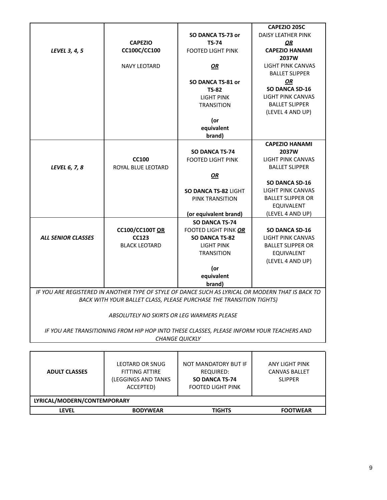|                                                                                                   |                      |                                                                     | CAPEZIO 205C              |
|---------------------------------------------------------------------------------------------------|----------------------|---------------------------------------------------------------------|---------------------------|
|                                                                                                   |                      | SO DANCA TS-73 or                                                   | <b>DAISY LEATHER PINK</b> |
|                                                                                                   | <b>CAPEZIO</b>       | <b>TS-74</b>                                                        | ΟR                        |
| LEVEL 3, 4, 5                                                                                     | CC100C/CC100         | <b>FOOTED LIGHT PINK</b>                                            | <b>CAPEZIO HANAMI</b>     |
|                                                                                                   |                      |                                                                     | 2037W                     |
|                                                                                                   | <b>NAVY LEOTARD</b>  | OR                                                                  | <b>LIGHT PINK CANVAS</b>  |
|                                                                                                   |                      |                                                                     | <b>BALLET SLIPPER</b>     |
|                                                                                                   |                      | SO DANCA TS-81 or                                                   | <b>OR</b>                 |
|                                                                                                   |                      | <b>TS-82</b>                                                        | <b>SO DANCA SD-16</b>     |
|                                                                                                   |                      | <b>LIGHT PINK</b>                                                   | <b>LIGHT PINK CANVAS</b>  |
|                                                                                                   |                      | <b>TRANSITION</b>                                                   | <b>BALLET SLIPPER</b>     |
|                                                                                                   |                      |                                                                     | (LEVEL 4 AND UP)          |
|                                                                                                   |                      | (or                                                                 |                           |
|                                                                                                   |                      | equivalent                                                          |                           |
|                                                                                                   |                      | brand)                                                              |                           |
|                                                                                                   |                      |                                                                     | <b>CAPEZIO HANAMI</b>     |
|                                                                                                   |                      | <b>SO DANCA TS-74</b>                                               | 2037W                     |
|                                                                                                   | <b>CC100</b>         | <b>FOOTED LIGHT PINK</b>                                            | <b>LIGHT PINK CANVAS</b>  |
| LEVEL 6, 7, 8                                                                                     | ROYAL BLUE LEOTARD   |                                                                     | <b>BALLET SLIPPER</b>     |
|                                                                                                   |                      | OR                                                                  |                           |
|                                                                                                   |                      |                                                                     | <b>SO DANCA SD-16</b>     |
|                                                                                                   |                      | SO DANCA TS-82 LIGHT                                                | <b>LIGHT PINK CANVAS</b>  |
|                                                                                                   |                      | <b>PINK TRANSITION</b>                                              | <b>BALLET SLIPPER OR</b>  |
|                                                                                                   |                      |                                                                     | <b>EQUIVALENT</b>         |
|                                                                                                   |                      | (or equivalent brand)                                               | (LEVEL 4 AND UP)          |
|                                                                                                   |                      | <b>SO DANCA TS-74</b>                                               |                           |
|                                                                                                   | CC100/CC100TOR       | FOOTED LIGHT PINK OR                                                | SO DANCA SD-16            |
| <b>ALL SENIOR CLASSES</b>                                                                         | <b>CC123</b>         | <b>SO DANCA TS-82</b>                                               | <b>LIGHT PINK CANVAS</b>  |
|                                                                                                   | <b>BLACK LEOTARD</b> | LIGHT PINK                                                          | <b>BALLET SLIPPER OR</b>  |
|                                                                                                   |                      | <b>TRANSITION</b>                                                   | EQUIVALENT                |
|                                                                                                   |                      |                                                                     | (LEVEL 4 AND UP)          |
|                                                                                                   |                      | (or                                                                 |                           |
|                                                                                                   |                      | equivalent                                                          |                           |
|                                                                                                   |                      | brand)                                                              |                           |
| IF YOU ARE REGISTERED IN ANOTHER TYPE OF STYLE OF DANCE SUCH AS LYRICAL OR MODERN THAT IS BACK TO |                      |                                                                     |                           |
|                                                                                                   |                      | BACK WITH YOUR BALLET CLASS, PLEASE PURCHASE THE TRANSITION TIGHTS) |                           |
|                                                                                                   |                      |                                                                     |                           |

#### *ABSOLUTELY NO SKIRTS OR LEG WARMERS PLEASE*

*IF YOU ARE TRANSITIONING FROM HIP HOP INTO THESE CLASSES, PLEASE INFORM YOUR TEACHERS AND* **CHANGE QUICKLY** 

| <b>ADULT CLASSES</b>        | LEOTARD OR SNUG<br><b>FITTING ATTIRE</b><br>(LEGGINGS AND TANKS<br>ACCEPTED) | NOT MANDATORY BUT IF<br>REQUIRED:<br>SO DANCA TS-74<br><b>FOOTED LIGHT PINK</b> | ANY LIGHT PINK<br><b>CANVAS BALLET</b><br><b>SLIPPER</b> |
|-----------------------------|------------------------------------------------------------------------------|---------------------------------------------------------------------------------|----------------------------------------------------------|
| LYRICAL/MODERN/CONTEMPORARY |                                                                              |                                                                                 |                                                          |
| <b>LEVEL</b>                | <b>BODYWEAR</b>                                                              | <b>TIGHTS</b>                                                                   | <b>FOOTWEAR</b>                                          |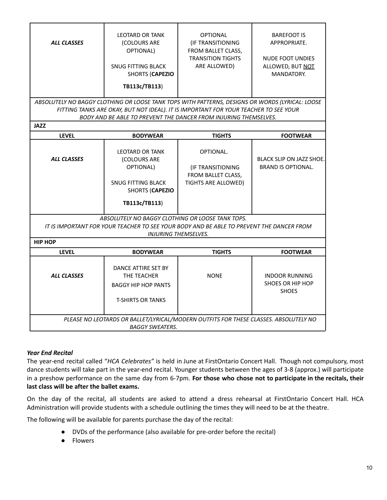| <b>ALL CLASSES</b>                                                                                                                                                          | LEOTARD OR TANK<br>(COLOURS ARE<br>OPTIONAL)<br>SNUG FITTING BLACK<br><b>SHORTS (CAPEZIO</b><br>TB113c/TB113)                                                                                                                                               | <b>OPTIONAL</b><br>(IF TRANSITIONING<br>FROM BALLET CLASS,<br><b>TRANSITION TIGHTS</b><br>ARE ALLOWED) | <b>BAREFOOT IS</b><br>APPROPRIATE.<br><b>NUDE FOOT UNDIES</b><br>ALLOWED, BUT NOT<br>MANDATORY. |
|-----------------------------------------------------------------------------------------------------------------------------------------------------------------------------|-------------------------------------------------------------------------------------------------------------------------------------------------------------------------------------------------------------------------------------------------------------|--------------------------------------------------------------------------------------------------------|-------------------------------------------------------------------------------------------------|
|                                                                                                                                                                             | ABSOLUTELY NO BAGGY CLOTHING OR LOOSE TANK TOPS WITH PATTERNS, DESIGNS OR WORDS (LYRICAL: LOOSE<br>FITTING TANKS ARE OKAY, BUT NOT IDEAL). IT IS IMPORTANT FOR YOUR TEACHER TO SEE YOUR<br>BODY AND BE ABLE TO PREVENT THE DANCER FROM INJURING THEMSELVES. |                                                                                                        |                                                                                                 |
| <b>JAZZ</b>                                                                                                                                                                 |                                                                                                                                                                                                                                                             |                                                                                                        |                                                                                                 |
| <b>LEVEL</b>                                                                                                                                                                | <b>BODYWEAR</b>                                                                                                                                                                                                                                             | <b>TIGHTS</b>                                                                                          | <b>FOOTWEAR</b>                                                                                 |
| <b>ALL CLASSES</b>                                                                                                                                                          | <b>LEOTARD OR TANK</b><br>(COLOURS ARE<br>OPTIONAL)<br><b>SNUG FITTING BLACK</b><br><b>SHORTS (CAPEZIO</b><br>TB113c/TB113)                                                                                                                                 | OPTIONAL.<br>(IF TRANSITIONING<br>FROM BALLET CLASS,<br>TIGHTS ARE ALLOWED)                            | <b>BLACK SLIP ON JAZZ SHOE.</b><br><b>BRAND IS OPTIONAL.</b>                                    |
| ABSOLUTELY NO BAGGY CLOTHING OR LOOSE TANK TOPS.<br>IT IS IMPORTANT FOR YOUR TEACHER TO SEE YOUR BODY AND BE ABLE TO PREVENT THE DANCER FROM<br><b>INJURING THEMSELVES.</b> |                                                                                                                                                                                                                                                             |                                                                                                        |                                                                                                 |
| <b>HIP HOP</b>                                                                                                                                                              |                                                                                                                                                                                                                                                             |                                                                                                        |                                                                                                 |
| <b>LEVEL</b>                                                                                                                                                                | <b>BODYWEAR</b>                                                                                                                                                                                                                                             | <b>TIGHTS</b>                                                                                          | <b>FOOTWEAR</b>                                                                                 |
| <b>ALL CLASSES</b>                                                                                                                                                          | DANCE ATTIRE SET BY<br>THE TEACHER<br><b>BAGGY HIP HOP PANTS</b><br><b>T-SHIRTS OR TANKS</b>                                                                                                                                                                | <b>NONE</b>                                                                                            | <b>INDOOR RUNNING</b><br><b>SHOES OR HIP HOP</b><br><b>SHOES</b>                                |
| PLEASE NO LEOTARDS OR BALLET/LYRICAL/MODERN OUTFITS FOR THESE CLASSES. ABSOLUTELY NO<br><b>BAGGY SWEATERS.</b>                                                              |                                                                                                                                                                                                                                                             |                                                                                                        |                                                                                                 |

# *Year End Recital*

The year-end recital called "*HCA Celebrates"* is held in June at FirstOntario Concert Hall. Though not compulsory, most dance students will take part in the year-end recital. Younger students between the ages of 3-8 (approx.) will participate in a preshow performance on the same day from 6-7pm. **For those who chose not to participate in the recitals, their last class will be after the ballet exams.**

On the day of the recital, all students are asked to attend a dress rehearsal at FirstOntario Concert Hall. HCA Administration will provide students with a schedule outlining the times they will need to be at the theatre.

The following will be available for parents purchase the day of the recital:

- DVDs of the performance (also available for pre-order before the recital)
- **Flowers**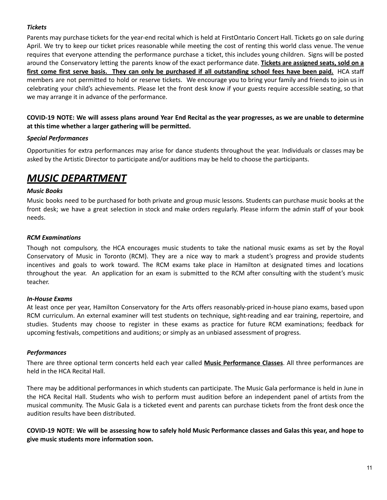# *Tickets*

Parents may purchase tickets for the year-end recital which is held at FirstOntario Concert Hall. Tickets go on sale during April. We try to keep our ticket prices reasonable while meeting the cost of renting this world class venue. The venue requires that everyone attending the performance purchase a ticket, this includes young children. Signs will be posted around the Conservatory letting the parents know of the exact performance date. **Tickets are assigned seats, sold on a** first come first serve basis. They can only be purchased if all outstanding school fees have been paid. HCA staff members are not permitted to hold or reserve tickets. We encourage you to bring your family and friends to join us in celebrating your child's achievements. Please let the front desk know if your guests require accessible seating, so that we may arrange it in advance of the performance.

COVID-19 NOTE: We will assess plans around Year End Recital as the year progresses, as we are unable to determine **at this time whether a larger gathering will be permitted.**

#### *Special Performances*

Opportunities for extra performances may arise for dance students throughout the year. Individuals or classes may be asked by the Artistic Director to participate and/or auditions may be held to choose the participants.

# *MUSIC DEPARTMENT*

#### *Music Books*

Music books need to be purchased for both private and group music lessons. Students can purchase music books at the front desk; we have a great selection in stock and make orders regularly. Please inform the admin staff of your book needs.

#### *RCM Examinations*

Though not compulsory, the HCA encourages music students to take the national music exams as set by the Royal Conservatory of Music in Toronto (RCM). They are a nice way to mark a student's progress and provide students incentives and goals to work toward. The RCM exams take place in Hamilton at designated times and locations throughout the year. An application for an exam is submitted to the RCM after consulting with the student's music teacher.

#### *In-House Exams*

At least once per year, Hamilton Conservatory for the Arts offers reasonably-priced in-house piano exams, based upon RCM curriculum. An external examiner will test students on technique, sight-reading and ear training, repertoire, and studies. Students may choose to register in these exams as practice for future RCM examinations; feedback for upcoming festivals, competitions and auditions; or simply as an unbiased assessment of progress.

#### *Performances*

There are three optional term concerts held each year called **Music Performance Classes**. All three performances are held in the HCA Recital Hall.

There may be additional performances in which students can participate. The Music Gala performance is held in June in the HCA Recital Hall. Students who wish to perform must audition before an independent panel of artists from the musical community. The Music Gala is a ticketed event and parents can purchase tickets from the front desk once the audition results have been distributed.

COVID-19 NOTE: We will be assessing how to safely hold Music Performance classes and Galas this year, and hope to **give music students more information soon.**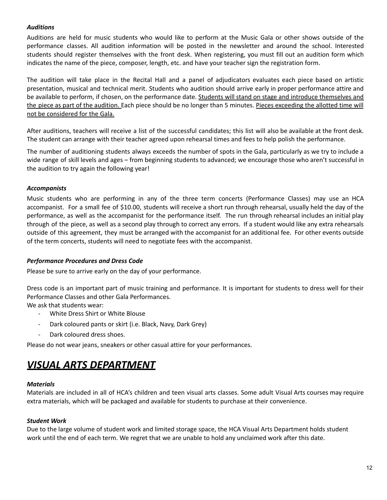# *Auditions*

Auditions are held for music students who would like to perform at the Music Gala or other shows outside of the performance classes. All audition information will be posted in the newsletter and around the school. Interested students should register themselves with the front desk. When registering, you must fill out an audition form which indicates the name of the piece, composer, length, etc. and have your teacher sign the registration form.

The audition will take place in the Recital Hall and a panel of adjudicators evaluates each piece based on artistic presentation, musical and technical merit. Students who audition should arrive early in proper performance attire and be available to perform, if chosen, on the performance date. Students will stand on stage and introduce themselves and the piece as part of the audition. Each piece should be no longer than 5 minutes. Pieces exceeding the allotted time will not be considered for the Gala.

After auditions, teachers will receive a list of the successful candidates; this list will also be available at the front desk. The student can arrange with their teacher agreed upon rehearsal times and fees to help polish the performance.

The number of auditioning students always exceeds the number of spots in the Gala, particularly as we try to include a wide range of skill levels and ages – from beginning students to advanced; we encourage those who aren't successful in the audition to try again the following year!

# *Accompanists*

Music students who are performing in any of the three term concerts (Performance Classes) may use an HCA accompanist. For a small fee of \$10.00, students will receive a short run through rehearsal, usually held the day of the performance, as well as the accompanist for the performance itself. The run through rehearsal includes an initial play through of the piece, as well as a second play through to correct any errors. If a student would like any extra rehearsals outside of this agreement, they must be arranged with the accompanist for an additional fee. For other events outside of the term concerts, students will need to negotiate fees with the accompanist.

#### *Performance Procedures and Dress Code*

Please be sure to arrive early on the day of your performance.

Dress code is an important part of music training and performance. It is important for students to dress well for their Performance Classes and other Gala Performances.

We ask that students wear:

- White Dress Shirt or White Blouse
- Dark coloured pants or skirt (i.e. Black, Navy, Dark Grey)
- Dark coloured dress shoes.

Please do not wear jeans, sneakers or other casual attire for your performances.

# *VISUAL ARTS DEPARTMENT*

#### *Materials*

Materials are included in all of HCA's children and teen visual arts classes. Some adult Visual Arts courses may require extra materials, which will be packaged and available for students to purchase at their convenience.

# *Student Work*

Due to the large volume of student work and limited storage space, the HCA Visual Arts Department holds student work until the end of each term. We regret that we are unable to hold any unclaimed work after this date.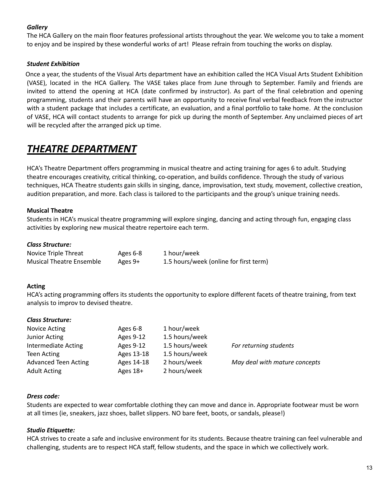# *Gallery*

The HCA Gallery on the main floor features professional artists throughout the year. We welcome you to take a moment to enjoy and be inspired by these wonderful works of art! Please refrain from touching the works on display.

# *Student Exhibition*

Once a year, the students of the Visual Arts department have an exhibition called the HCA Visual Arts Student Exhibition (VASE), located in the HCA Gallery. The VASE takes place from June through to September. Family and friends are invited to attend the opening at HCA (date confirmed by instructor). As part of the final celebration and opening programming, students and their parents will have an opportunity to receive final verbal feedback from the instructor with a student package that includes a certificate, an evaluation, and a final portfolio to take home. At the conclusion of VASE, HCA will contact students to arrange for pick up during the month of September. Any unclaimed pieces of art will be recycled after the arranged pick up time.

# *THEATRE DEPARTMENT*

HCA's Theatre Department offers programming in musical theatre and acting training for ages 6 to adult. Studying theatre encourages creativity, critical thinking, co-operation, and builds confidence. Through the study of various techniques, HCA Theatre students gain skills in singing, dance, improvisation, text study, movement, collective creation, audition preparation, and more. Each class is tailored to the participants and the group's unique training needs.

# **Musical Theatre**

Students in HCA's musical theatre programming will explore singing, dancing and acting through fun, engaging class activities by exploring new musical theatre repertoire each term.

# *Class Structure:*

| Novice Triple Threat            | Ages 6-8 | 1 hour/week                            |
|---------------------------------|----------|----------------------------------------|
| <b>Musical Theatre Ensemble</b> | Ages 9+  | 1.5 hours/week (online for first term) |

# **Acting**

HCA's acting programming offers its students the opportunity to explore different facets of theatre training, from text analysis to improv to devised theatre.

#### *Class Structure:*

| Novice Acting               | Ages 6-8   | 1 hour/week    |                               |
|-----------------------------|------------|----------------|-------------------------------|
| <b>Junior Acting</b>        | Ages 9-12  | 1.5 hours/week |                               |
| Intermediate Acting         | Ages 9-12  | 1.5 hours/week | For returning students        |
| Teen Acting                 | Ages 13-18 | 1.5 hours/week |                               |
| <b>Advanced Teen Acting</b> | Ages 14-18 | 2 hours/week   | May deal with mature concepts |
| <b>Adult Acting</b>         | Ages 18+   | 2 hours/week   |                               |

#### *Dress code:*

Students are expected to wear comfortable clothing they can move and dance in. Appropriate footwear must be worn at all times (ie, sneakers, jazz shoes, ballet slippers. NO bare feet, boots, or sandals, please!)

# *Studio Etiquette:*

HCA strives to create a safe and inclusive environment for its students. Because theatre training can feel vulnerable and challenging, students are to respect HCA staff, fellow students, and the space in which we collectively work.